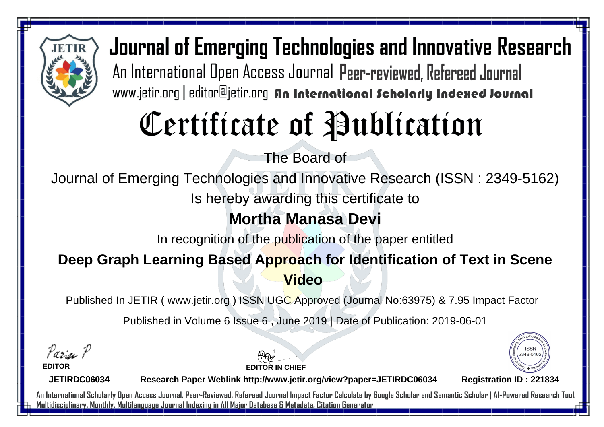

Journal of Emerging Technologies and Innovative Research An International Open Access Journal Peer-reviewed, Refereed Journal www.jetir.org | editor@jetir.org An International Scholarly Indexed Journal

# Certificate of Publication

The Board of

Journal of Emerging Technologies and Innovative Research (ISSN : 2349-5162)

Is hereby awarding this certificate to

### **Mortha Manasa Devi**

In recognition of the publication of the paper entitled

### **Deep Graph Learning Based Approach for Identification of Text in Scene**

**Video** 

Published In JETIR ( www.jetir.org ) ISSN UGC Approved (Journal No: 63975) & 7.95 Impact Factor

Published in Volume 6 Issue 6 , June 2019 | Date of Publication: 2019-06-01

Parin P

**EDITOR**

**EDITOR IN CHIEF**

2349-516

**JETIRDC06034**

**Research Paper Weblink http://www.jetir.org/view?paper=JETIRDC06034 Registration ID : 221834**

An International Scholarly Open Access Journal, Peer-Reviewed, Refereed Journal Impact Factor Calculate by Google Scholar and Semantic Scholar | Al-Powered Research Tool, Multidisciplinary, Monthly, Multilanguage Journal Indexing in All Major Database & Metadata, Citation Generator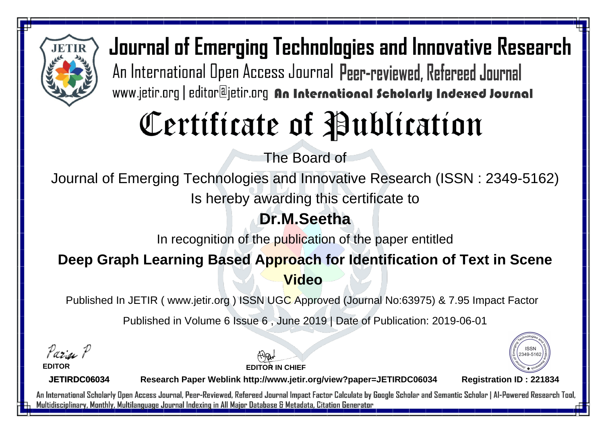

Journal of Emerging Technologies and Innovative Research An International Open Access Journal Peer-reviewed, Refereed Journal www.jetir.org | editor@jetir.org An International Scholarly Indexed Journal

# Certificate of Publication

The Board of

Journal of Emerging Technologies and Innovative Research (ISSN : 2349-5162)

Is hereby awarding this certificate to

### **Dr.M.Seetha**

In recognition of the publication of the paper entitled

#### **Deep Graph Learning Based Approach for Identification of Text in Scene Video**

Published In JETIR ( www.jetir.org ) ISSN UGC Approved (Journal No: 63975) & 7.95 Impact Factor

Published in Volume 6 Issue 6 , June 2019 | Date of Publication: 2019-06-01

Parin P

**EDITOR**

**EDITOR IN CHIEF**

2349-516

**JETIRDC06034**

**Research Paper Weblink http://www.jetir.org/view?paper=JETIRDC06034 Registration ID : 221834**

An International Scholarly Open Access Journal, Peer-Reviewed, Refereed Journal Impact Factor Calculate by Google Scholar and Semantic Scholar | Al-Powered Research Tool, Multidisciplinary, Monthly, Multilanguage Journal Indexing in All Major Database & Metadata, Citation Generator